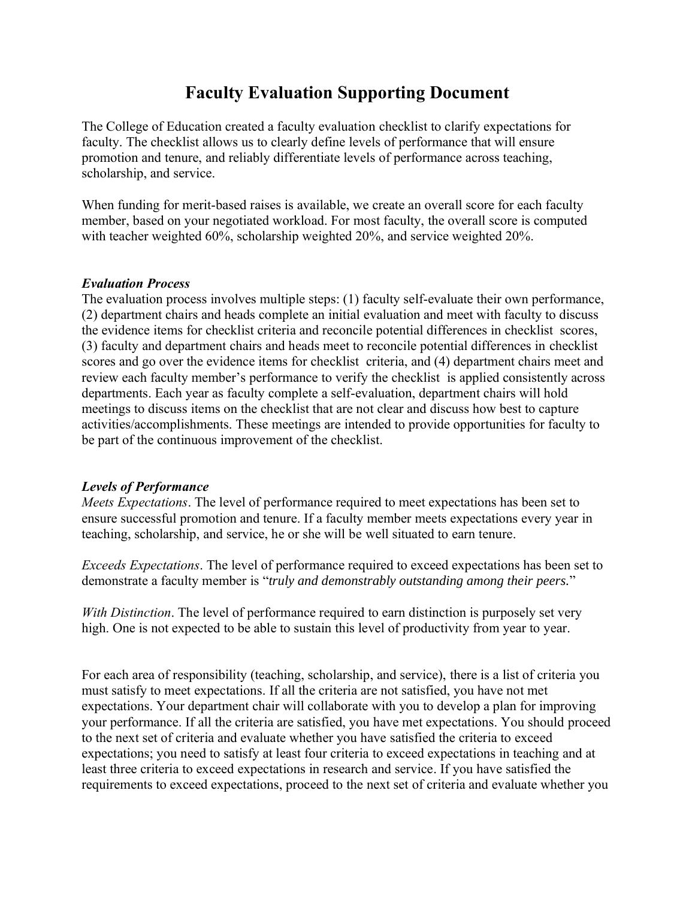# **Faculty Evaluation Supporting Document**

The College of Education created a faculty evaluation checklist to clarify expectations for faculty. The checklist allows us to clearly define levels of performance that will ensure promotion and tenure, and reliably differentiate levels of performance across teaching, scholarship, and service.

When funding for merit-based raises is available, we create an overall score for each faculty member, based on your negotiated workload. For most faculty, the overall score is computed with teacher weighted 60%, scholarship weighted 20%, and service weighted 20%.

#### *Evaluation Process*

The evaluation process involves multiple steps: (1) faculty self-evaluate their own performance, (2) department chairs and heads complete an initial evaluation and meet with faculty to discuss the evidence items for checklist criteria and reconcile potential differences in checklist scores, (3) faculty and department chairs and heads meet to reconcile potential differences in checklist scores and go over the evidence items for checklist criteria, and (4) department chairs meet and review each faculty member's performance to verify the checklist is applied consistently across departments. Each year as faculty complete a self-evaluation, department chairs will hold meetings to discuss items on the checklist that are not clear and discuss how best to capture activities/accomplishments. These meetings are intended to provide opportunities for faculty to be part of the continuous improvement of the checklist.

#### *Levels of Performance*

*Meets Expectations*. The level of performance required to meet expectations has been set to ensure successful promotion and tenure. If a faculty member meets expectations every year in teaching, scholarship, and service, he or she will be well situated to earn tenure.

*Exceeds Expectations*. The level of performance required to exceed expectations has been set to demonstrate a faculty member is "*truly and demonstrably outstanding among their peers.*"

*With Distinction*. The level of performance required to earn distinction is purposely set very high. One is not expected to be able to sustain this level of productivity from year to year.

For each area of responsibility (teaching, scholarship, and service), there is a list of criteria you must satisfy to meet expectations. If all the criteria are not satisfied, you have not met expectations. Your department chair will collaborate with you to develop a plan for improving your performance. If all the criteria are satisfied, you have met expectations. You should proceed to the next set of criteria and evaluate whether you have satisfied the criteria to exceed expectations; you need to satisfy at least four criteria to exceed expectations in teaching and at least three criteria to exceed expectations in research and service. If you have satisfied the requirements to exceed expectations, proceed to the next set of criteria and evaluate whether you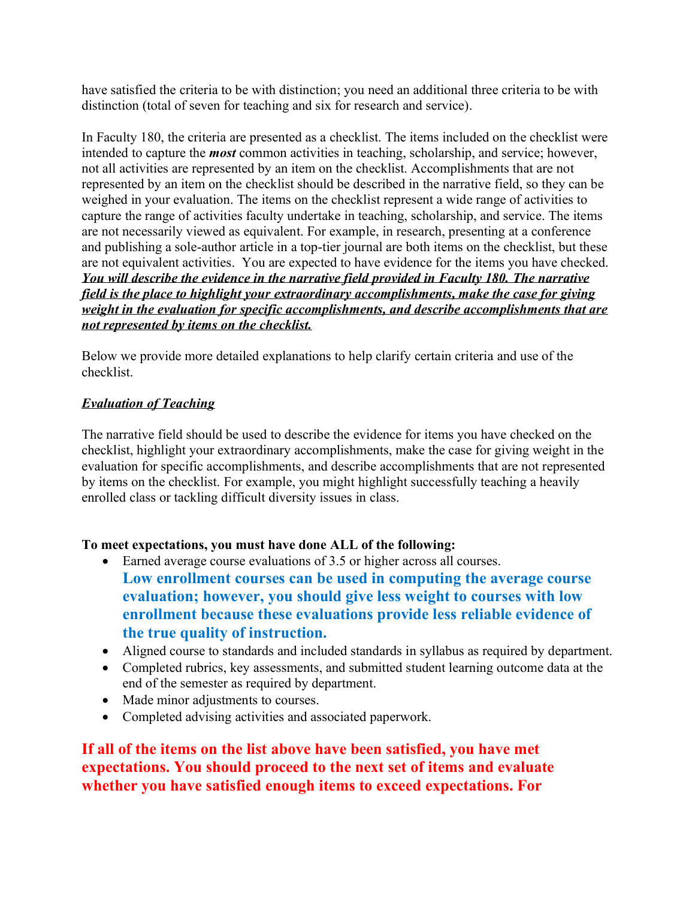have satisfied the criteria to be with distinction; you need an additional three criteria to be with distinction (total of seven for teaching and six for research and service).

In Faculty 180, the criteria are presented as a checklist. The items included on the checklist were intended to capture the *most* common activities in teaching, scholarship, and service; however, not all activities are represented by an item on the checklist. Accomplishments that are not represented by an item on the checklist should be described in the narrative field, so they can be weighed in your evaluation. The items on the checklist represent a wide range of activities to capture the range of activities faculty undertake in teaching, scholarship, and service. The items are not necessarily viewed as equivalent. For example, in research, presenting at a conference and publishing a sole-author article in a top-tier journal are both items on the checklist, but these are not equivalent activities. You are expected to have evidence for the items you have checked. *You will describe the evidence in the narrative field provided in Faculty 180. The narrative field is the place to highlight your extraordinary accomplishments, make the case for giving weight in the evaluation for specific accomplishments, and describe accomplishments that are not represented by items on the checklist.*

Below we provide more detailed explanations to help clarify certain criteria and use of the checklist.

#### *Evaluation of Teaching*

The narrative field should be used to describe the evidence for items you have checked on the checklist, highlight your extraordinary accomplishments, make the case for giving weight in the evaluation for specific accomplishments, and describe accomplishments that are not represented by items on the checklist. For example, you might highlight successfully teaching a heavily enrolled class or tackling difficult diversity issues in class.

#### **To meet expectations, you must have done ALL of the following:**

- Earned average course evaluations of 3.5 or higher across all courses. **Low enrollment courses can be used in computing the average course evaluation; however, you should give less weight to courses with low enrollment because these evaluations provide less reliable evidence of the true quality of instruction.**
- Aligned course to standards and included standards in syllabus as required by department.
- Completed rubrics, key assessments, and submitted student learning outcome data at the end of the semester as required by department.
- Made minor adjustments to courses.
- Completed advising activities and associated paperwork.

**If all of the items on the list above have been satisfied, you have met expectations. You should proceed to the next set of items and evaluate whether you have satisfied enough items to exceed expectations. For**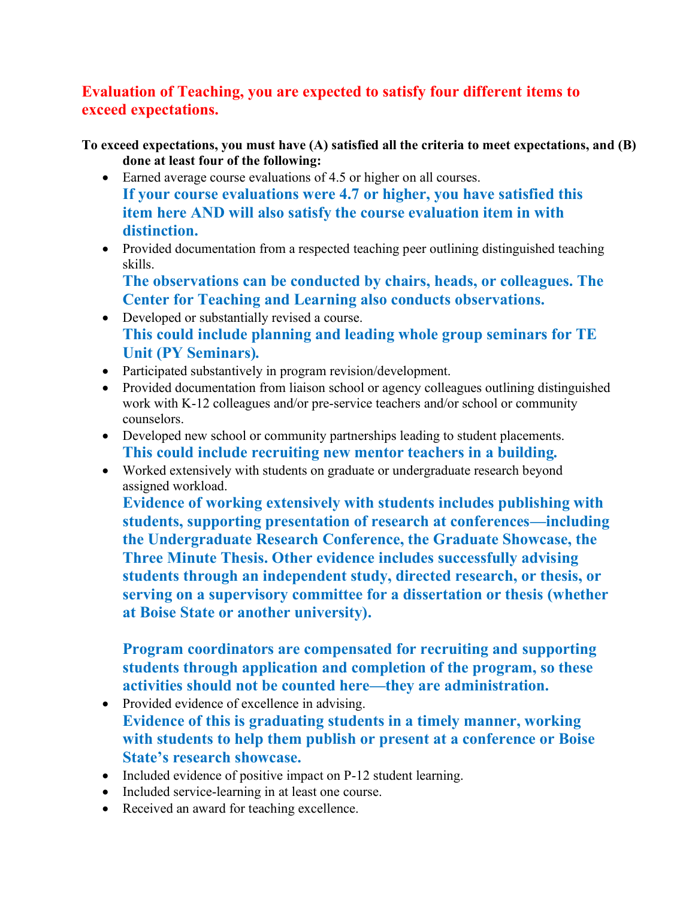## **Evaluation of Teaching, you are expected to satisfy four different items to exceed expectations.**

**To exceed expectations, you must have (A) satisfied all the criteria to meet expectations, and (B) done at least four of the following:**

- Earned average course evaluations of 4.5 or higher on all courses. **If your course evaluations were 4.7 or higher, you have satisfied this item here AND will also satisfy the course evaluation item in with distinction.**
- Provided documentation from a respected teaching peer outlining distinguished teaching skills.

**The observations can be conducted by chairs, heads, or colleagues. The Center for Teaching and Learning also conducts observations.** 

- Developed or substantially revised a course. **This could include planning and leading whole group seminars for TE Unit (PY Seminars)***.*
- Participated substantively in program revision/development.
- Provided documentation from liaison school or agency colleagues outlining distinguished work with K-12 colleagues and/or pre-service teachers and/or school or community counselors.
- Developed new school or community partnerships leading to student placements. **This could include recruiting new mentor teachers in a building***.*
- Worked extensively with students on graduate or undergraduate research beyond assigned workload.

**Evidence of working extensively with students includes publishing with students, supporting presentation of research at conferences—including the Undergraduate Research Conference, the Graduate Showcase, the Three Minute Thesis. Other evidence includes successfully advising students through an independent study, directed research, or thesis, or serving on a supervisory committee for a dissertation or thesis (whether at Boise State or another university).**

**Program coordinators are compensated for recruiting and supporting students through application and completion of the program, so these activities should not be counted here—they are administration.**

- Provided evidence of excellence in advising. **Evidence of this is graduating students in a timely manner, working with students to help them publish or present at a conference or Boise State's research showcase.**
- Included evidence of positive impact on P-12 student learning.
- Included service-learning in at least one course.
- Received an award for teaching excellence.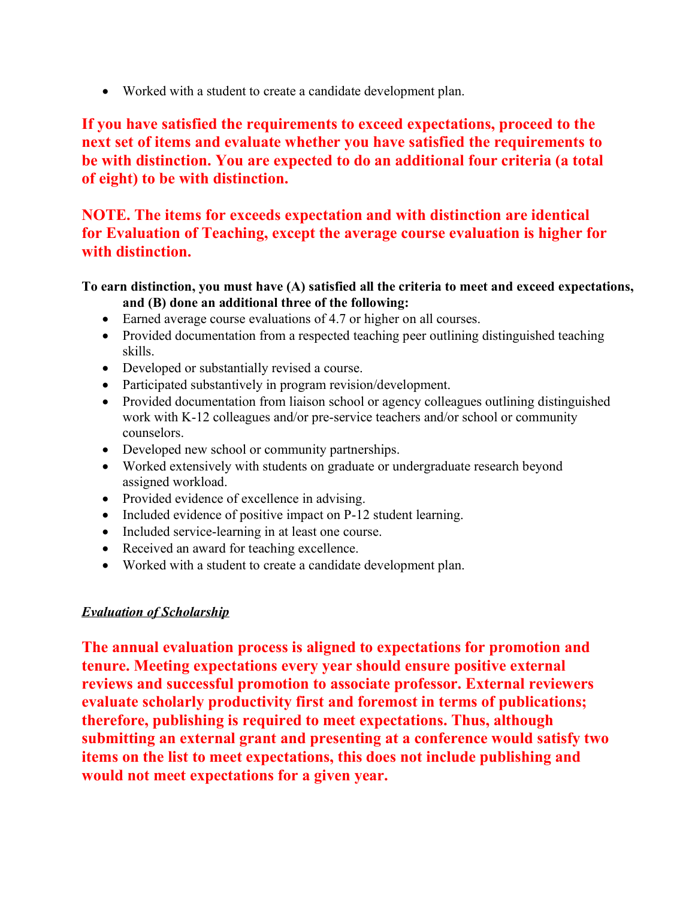• Worked with a student to create a candidate development plan.

**If you have satisfied the requirements to exceed expectations, proceed to the next set of items and evaluate whether you have satisfied the requirements to be with distinction. You are expected to do an additional four criteria (a total of eight) to be with distinction.**

## **NOTE. The items for exceeds expectation and with distinction are identical for Evaluation of Teaching, except the average course evaluation is higher for with distinction.**

#### **To earn distinction, you must have (A) satisfied all the criteria to meet and exceed expectations, and (B) done an additional three of the following:**

- Earned average course evaluations of 4.7 or higher on all courses.
- Provided documentation from a respected teaching peer outlining distinguished teaching skills.
- Developed or substantially revised a course.
- Participated substantively in program revision/development.
- Provided documentation from liaison school or agency colleagues outlining distinguished work with K-12 colleagues and/or pre-service teachers and/or school or community counselors.
- Developed new school or community partnerships.
- Worked extensively with students on graduate or undergraduate research beyond assigned workload.
- Provided evidence of excellence in advising.
- Included evidence of positive impact on P-12 student learning.
- Included service-learning in at least one course.
- Received an award for teaching excellence.
- Worked with a student to create a candidate development plan.

#### *Evaluation of Scholarship*

**The annual evaluation process is aligned to expectations for promotion and tenure. Meeting expectations every year should ensure positive external reviews and successful promotion to associate professor. External reviewers evaluate scholarly productivity first and foremost in terms of publications; therefore, publishing is required to meet expectations. Thus, although submitting an external grant and presenting at a conference would satisfy two items on the list to meet expectations, this does not include publishing and would not meet expectations for a given year.**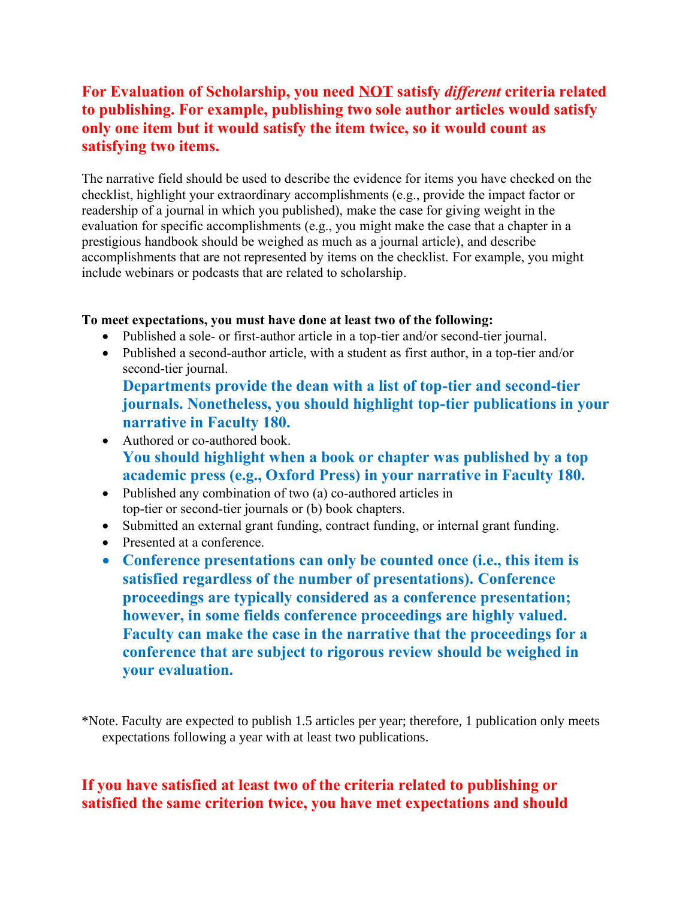## **For Evaluation of Scholarship, you need NOT satisfy** *different* **criteria related to publishing. For example, publishing two sole author articles would satisfy only one item but it would satisfy the item twice, so it would count as satisfying two items.**

The narrative field should be used to describe the evidence for items you have checked on the checklist, highlight your extraordinary accomplishments (e.g., provide the impact factor or readership of a journal in which you published), make the case for giving weight in the evaluation for specific accomplishments (e.g., you might make the case that a chapter in a prestigious handbook should be weighed as much as a journal article), and describe accomplishments that are not represented by items on the checklist. For example, you might include webinars or podcasts that are related to scholarship.

#### **To meet expectations, you must have done at least two of the following:**

- Published a sole- or first-author article in a top-tier and/or second-tier journal.
- Published a second-author article, with a student as first author, in a top-tier and/or second-tier journal.

**Departments provide the dean with a list of top-tier and second-tier journals. Nonetheless, you should highlight top-tier publications in your narrative in Faculty 180.** 

- Authored or co-authored book. **You should highlight when a book or chapter was published by a top academic press (e.g., Oxford Press) in your narrative in Faculty 180.**
- Published any combination of two (a) co-authored articles in top-tier or second-tier journals or (b) book chapters.
- Submitted an external grant funding, contract funding, or internal grant funding.
- Presented at a conference.
- **Conference presentations can only be counted once (i.e., this item is satisfied regardless of the number of presentations). Conference proceedings are typically considered as a conference presentation; however, in some fields conference proceedings are highly valued. Faculty can make the case in the narrative that the proceedings for a conference that are subject to rigorous review should be weighed in your evaluation.**

\*Note. Faculty are expected to publish 1.5 articles per year; therefore, 1 publication only meets expectations following a year with at least two publications.

## **If you have satisfied at least two of the criteria related to publishing or satisfied the same criterion twice, you have met expectations and should**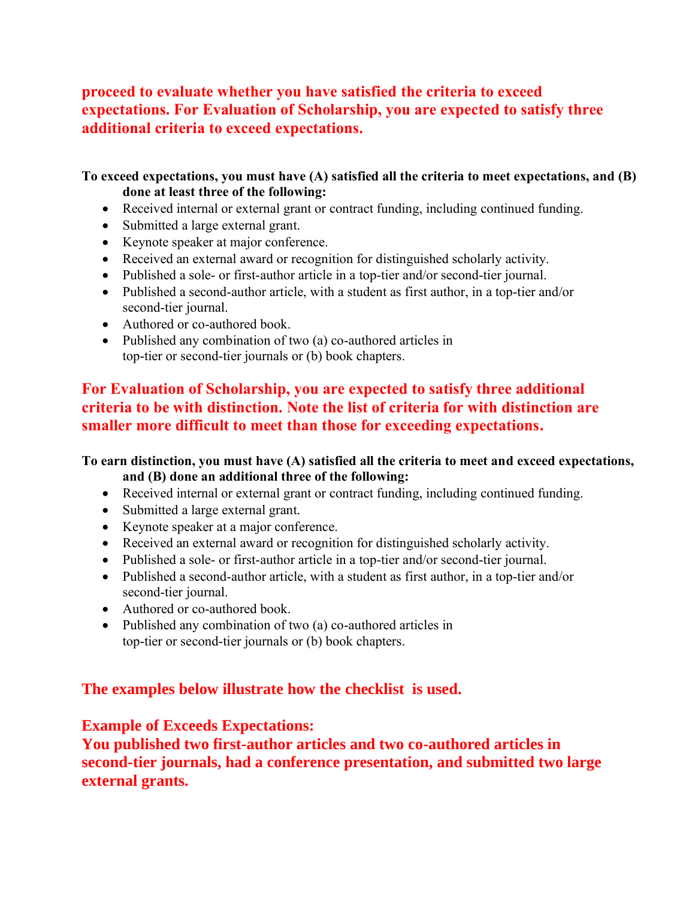### **proceed to evaluate whether you have satisfied the criteria to exceed expectations. For Evaluation of Scholarship, you are expected to satisfy three additional criteria to exceed expectations.**

#### **To exceed expectations, you must have (A) satisfied all the criteria to meet expectations, and (B) done at least three of the following:**

- Received internal or external grant or contract funding, including continued funding.
- Submitted a large external grant.
- Keynote speaker at major conference.
- Received an external award or recognition for distinguished scholarly activity.
- Published a sole- or first-author article in a top-tier and/or second-tier journal.
- Published a second-author article, with a student as first author, in a top-tier and/or second-tier journal.
- Authored or co-authored book.
- Published any combination of two (a) co-authored articles in top-tier or second-tier journals or (b) book chapters.

## **For Evaluation of Scholarship, you are expected to satisfy three additional criteria to be with distinction. Note the list of criteria for with distinction are smaller more difficult to meet than those for exceeding expectations.**

#### **To earn distinction, you must have (A) satisfied all the criteria to meet and exceed expectations, and (B) done an additional three of the following:**

- Received internal or external grant or contract funding, including continued funding.
- Submitted a large external grant.
- Keynote speaker at a major conference.
- Received an external award or recognition for distinguished scholarly activity.
- Published a sole- or first-author article in a top-tier and/or second-tier journal.
- Published a second-author article, with a student as first author, in a top-tier and/or second-tier journal.
- Authored or co-authored book.
- Published any combination of two (a) co-authored articles in top-tier or second-tier journals or (b) book chapters.

## **The examples below illustrate how the checklist is used.**

## **Example of Exceeds Expectations:**

**You published two first-author articles and two co-authored articles in second-tier journals, had a conference presentation, and submitted two large external grants.**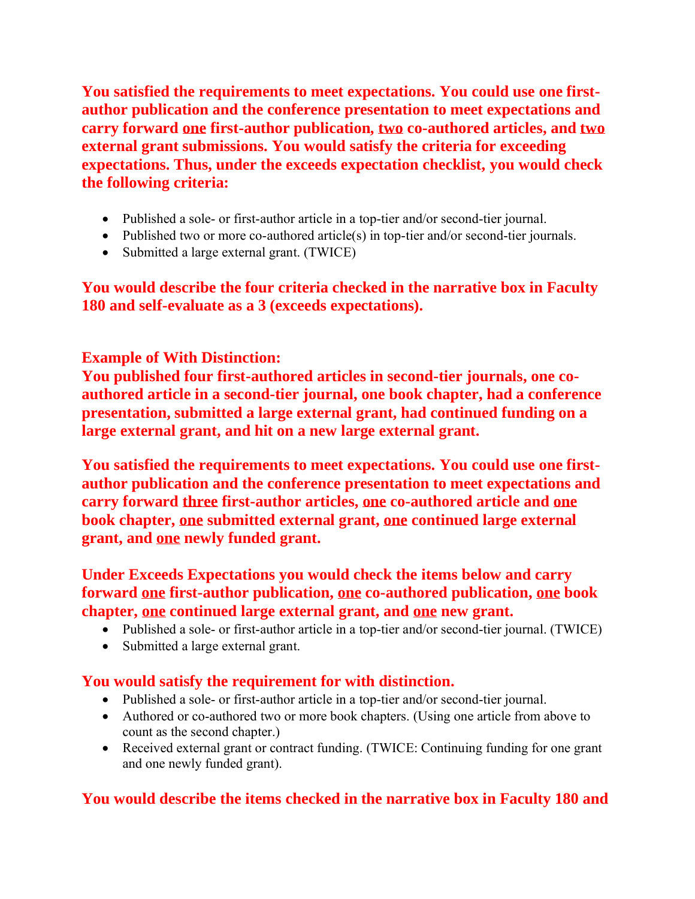**You satisfied the requirements to meet expectations. You could use one firstauthor publication and the conference presentation to meet expectations and carry forward one first-author publication, two co-authored articles, and two external grant submissions. You would satisfy the criteria for exceeding expectations. Thus, under the exceeds expectation checklist, you would check the following criteria:**

- Published a sole- or first-author article in a top-tier and/or second-tier journal.
- Published two or more co-authored article(s) in top-tier and/or second-tier journals.
- Submitted a large external grant. (TWICE)

**You would describe the four criteria checked in the narrative box in Faculty 180 and self-evaluate as a 3 (exceeds expectations).**

### **Example of With Distinction:**

**You published four first-authored articles in second-tier journals, one coauthored article in a second-tier journal, one book chapter, had a conference presentation, submitted a large external grant, had continued funding on a large external grant, and hit on a new large external grant.**

**You satisfied the requirements to meet expectations. You could use one firstauthor publication and the conference presentation to meet expectations and carry forward three first-author articles, one co-authored article and one book chapter, one submitted external grant, one continued large external grant, and one newly funded grant.** 

### **Under Exceeds Expectations you would check the items below and carry forward one first-author publication, one co-authored publication, one book chapter, one continued large external grant, and one new grant.**

- Published a sole- or first-author article in a top-tier and/or second-tier journal. (TWICE)
- Submitted a large external grant.

#### **You would satisfy the requirement for with distinction.**

- Published a sole- or first-author article in a top-tier and/or second-tier journal.
- Authored or co-authored two or more book chapters. (Using one article from above to count as the second chapter.)
- Received external grant or contract funding. (TWICE: Continuing funding for one grant and one newly funded grant).

## **You would describe the items checked in the narrative box in Faculty 180 and**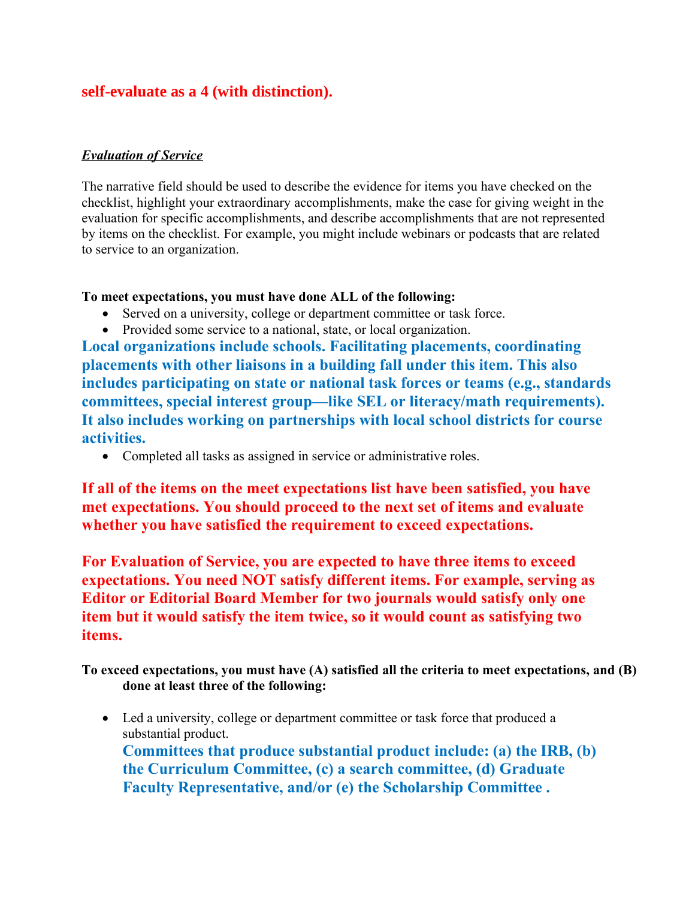### **self-evaluate as a 4 (with distinction).**

#### *Evaluation of Service*

The narrative field should be used to describe the evidence for items you have checked on the checklist, highlight your extraordinary accomplishments, make the case for giving weight in the evaluation for specific accomplishments, and describe accomplishments that are not represented by items on the checklist. For example, you might include webinars or podcasts that are related to service to an organization.

#### **To meet expectations, you must have done ALL of the following:**

- Served on a university, college or department committee or task force.
- Provided some service to a national, state, or local organization.

**Local organizations include schools. Facilitating placements, coordinating placements with other liaisons in a building fall under this item. This also includes participating on state or national task forces or teams (e.g., standards committees, special interest group—like SEL or literacy/math requirements). It also includes working on partnerships with local school districts for course activities.**

• Completed all tasks as assigned in service or administrative roles.

**If all of the items on the meet expectations list have been satisfied, you have met expectations. You should proceed to the next set of items and evaluate whether you have satisfied the requirement to exceed expectations.** 

**For Evaluation of Service, you are expected to have three items to exceed expectations. You need NOT satisfy different items. For example, serving as Editor or Editorial Board Member for two journals would satisfy only one item but it would satisfy the item twice, so it would count as satisfying two items.**

**To exceed expectations, you must have (A) satisfied all the criteria to meet expectations, and (B) done at least three of the following:**

• Led a university, college or department committee or task force that produced a substantial product. **Committees that produce substantial product include: (a) the IRB, (b) the Curriculum Committee, (c) a search committee, (d) Graduate Faculty Representative, and/or (e) the Scholarship Committee .**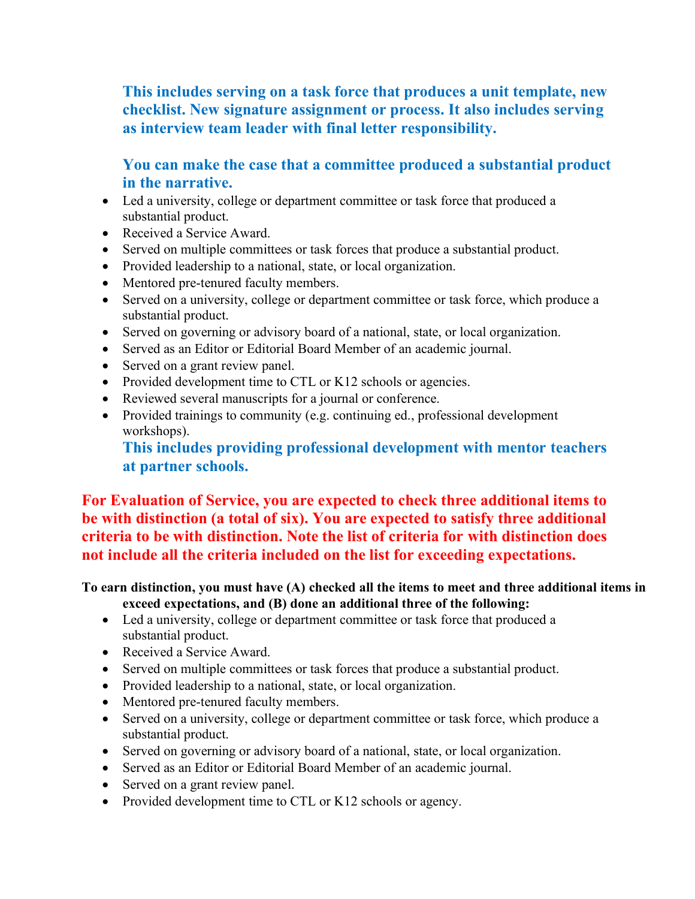**This includes serving on a task force that produces a unit template, new checklist. New signature assignment or process. It also includes serving as interview team leader with final letter responsibility.**

### **You can make the case that a committee produced a substantial product in the narrative.**

- Led a university, college or department committee or task force that produced a substantial product.
- Received a Service Award.
- Served on multiple committees or task forces that produce a substantial product.
- Provided leadership to a national, state, or local organization.
- Mentored pre-tenured faculty members.
- Served on a university, college or department committee or task force, which produce a substantial product.
- Served on governing or advisory board of a national, state, or local organization.
- Served as an Editor or Editorial Board Member of an academic journal.
- Served on a grant review panel.
- Provided development time to CTL or K12 schools or agencies.
- Reviewed several manuscripts for a journal or conference.
- Provided trainings to community (e.g. continuing ed., professional development workshops).

#### **This includes providing professional development with mentor teachers at partner schools.**

**For Evaluation of Service, you are expected to check three additional items to be with distinction (a total of six). You are expected to satisfy three additional criteria to be with distinction. Note the list of criteria for with distinction does not include all the criteria included on the list for exceeding expectations.** 

**To earn distinction, you must have (A) checked all the items to meet and three additional items in** 

**exceed expectations, and (B) done an additional three of the following:**

- Led a university, college or department committee or task force that produced a substantial product.
- Received a Service Award.
- Served on multiple committees or task forces that produce a substantial product.
- Provided leadership to a national, state, or local organization.
- Mentored pre-tenured faculty members.
- Served on a university, college or department committee or task force, which produce a substantial product.
- Served on governing or advisory board of a national, state, or local organization.
- Served as an Editor or Editorial Board Member of an academic journal.
- Served on a grant review panel.
- Provided development time to CTL or K12 schools or agency.